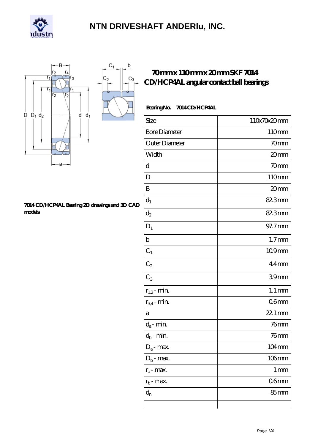



#### **[7014 CD/HCP4AL Bearing 2D drawings and 3D CAD](https://m.carib-link.com/pic-33175.html) [models](https://m.carib-link.com/pic-33175.html)**

### **[70 mm x 110 mm x 20 mm SKF 7014](https://m.carib-link.com/bs-33175-skf-7014-cd-hcp4al-angular-contact-ball-bearings.html) [CD/HCP4AL angular contact ball bearings](https://m.carib-link.com/bs-33175-skf-7014-cd-hcp4al-angular-contact-ball-bearings.html)**

### Bearing No. 7014 CD/HCP4AL

| Size                 | 110x70x20mm         |
|----------------------|---------------------|
| <b>Bore Diameter</b> | 110mm               |
| Outer Diameter       | 70mm                |
| Width                | 20mm                |
| d                    | 70mm                |
| D                    | 110mm               |
| B                    | 20mm                |
| $d_1$                | 82.3mm              |
| $\mathrm{d}_2$       | 82.3mm              |
| $D_1$                | 97.7mm              |
| $\mathbf b$          | 1.7 <sub>mm</sub>   |
| $C_1$                | 109mm               |
| $C_2$                | $44$ mm             |
| $C_3$                | 39mm                |
| $r_{1,2}$ - min.     | $1.1 \,\mathrm{mm}$ |
| $r_{34}$ - min.      | 06 <sub>mm</sub>    |
| a                    | 22.1 mm             |
| $d_a$ - min.         | 76mm                |
| $d_b$ - min.         | $76$ mm             |
| $D_a$ - max.         | $104 \,\mathrm{mm}$ |
| $D_b$ - max.         | $106$ mm            |
| $r_a$ - max.         | $1 \,\mathrm{mm}$   |
| $r_{b}$ - max.       | 06 <sub>mm</sub>    |
| $d_{n}$              | 85 <sub>mm</sub>    |
|                      |                     |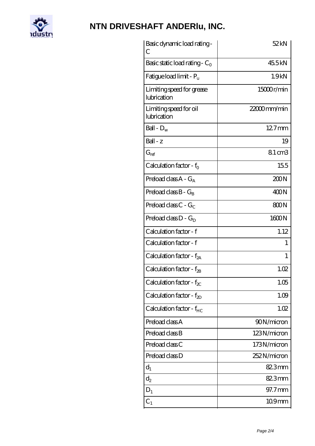

| Basic dynamic load rating -<br>С         | 52kN           |
|------------------------------------------|----------------|
| Basic static load rating - $C_0$         | 45.5kN         |
| Fatigue load limit - P <sub>u</sub>      | 1.9kN          |
| Limiting speed for grease<br>lubrication | 15000r/min     |
| Limiting speed for oil<br>lubrication    | $22000$ mm/min |
| Ball - $D_w$                             | $127$ mm       |
| $Ball - z$                               | 19             |
| $G_{\rm ref}$                            | 8.1 cm3        |
| Calculation factor - $f_0$               | 155            |
| Preload class $A - G_A$                  | 200N           |
| Preload class $B - G_B$                  | 400N           |
| Preload class $C - G_C$                  | 800N           |
| Preload class $D - G_D$                  | 1600N          |
| Calculation factor - f                   | 1.12           |
| Calculation factor - f                   | 1              |
| Calculation factor - f <sub>2A</sub>     | 1              |
| Calculation factor - $f_{\mathcal{B}}$   | 1.02           |
| Calculation factor - $f_{\chi}$          | 1.05           |
| Calculation factor - $f_{ZD}$            | 1.09           |
| Calculation factor - $f_{HC}$            | 1.02           |
| Preload class A                          | 90N/micron     |
| Preload class B                          | 123N/micron    |
| Preload class C                          | 173N/micron    |
| Preload class D                          | 252N/micron    |
| $d_1$                                    | 82.3mm         |
| $\mathrm{d}_2$                           | 82.3mm         |
| $D_1$                                    | 97.7mm         |
| $C_{1}$                                  | $109$ mm       |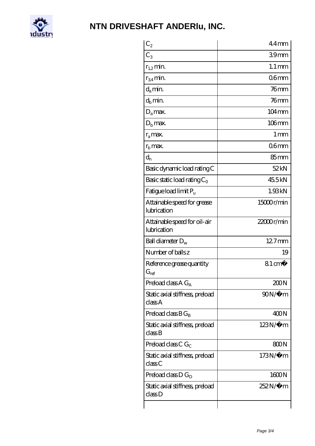

| $C_2$                                           | $44$ mm             |
|-------------------------------------------------|---------------------|
| $C_3$                                           | 39 <sub>mm</sub>    |
| $r_{1,2}$ min.                                  | $1.1 \,\mathrm{mm}$ |
| $r_{34}$ min.                                   | $06$ mm             |
| $d_{a}$ min.                                    | $76$ mm             |
| $d_h$ min.                                      | $76$ mm             |
| $D_a$ max.                                      | $104 \,\mathrm{mm}$ |
| $D_{b}$ max.                                    | $106$ mm            |
| $r_a$ max.                                      | $1 \,\mathrm{mm}$   |
| $rb$ max.                                       | 06 <sub>mm</sub>    |
| $d_{n}$                                         | $85 \text{mm}$      |
| Basic dynamic load rating C                     | 52kN                |
| Basic static load rating $C_0$                  | 45.5kN              |
| Fatigue load limit Pu                           | 1.93kN              |
| Attainable speed for grease<br>lubrication      | 15000r/min          |
| Attainable speed for oil-air<br>lubrication     | $22000$ r/min       |
| Ball diameter $D_w$                             | $127$ mm            |
| Number of balls z                               | 19                  |
| Reference grease quantity<br>$G_{\mathrm{ref}}$ | $81 \text{ cm}^3$   |
| Preload class $A G_A$                           | 200N                |
| Static axial stiffness, preload<br>classA       | 90N/μ m             |
| Preload class $BG_B$                            | 400N                |
| Static axial stiffness, preload<br>classB       | $123N/\mu$ m        |
| Preload class C $G_C$                           | 800N                |
| Static axial stiffness, preload<br>classC       | $173N/\mu$ m        |
| Preload class $D G_D$                           | 1600N               |
| Static axial stiffness, preload<br>classD       | 252N/µ m            |
|                                                 |                     |